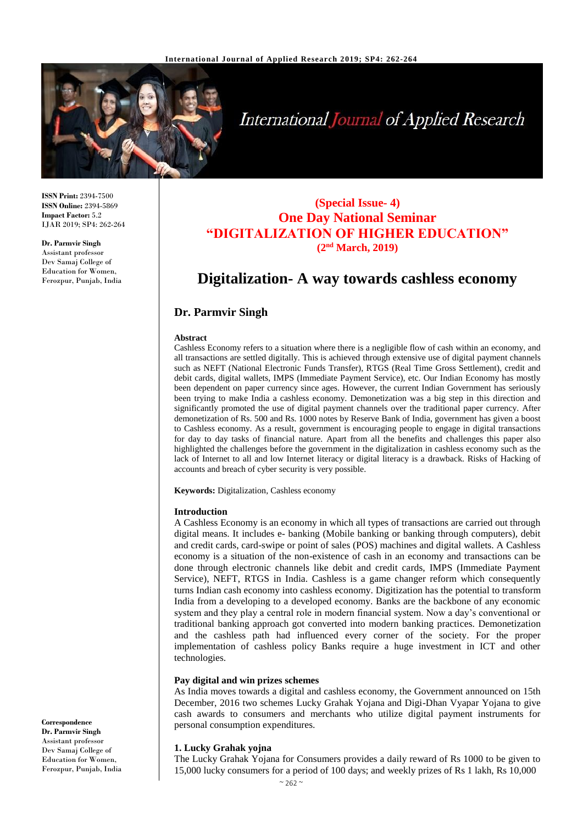

# **International Journal of Applied Research**

**ISSN Print:** 2394-7500 **ISSN Online:** 2394-5869 **Impact Factor:** 5.2 IJAR 2019; SP4: 262-264

**Dr. Parmvir Singh** Assistant professor Dev Samaj College of Education for Women, Ferozpur, Punjab, India

# **(Special Issue- 4) One Day National Seminar "DIGITALIZATION OF HIGHER EDUCATION" (2nd March, 2019)**

# **Digitalization- A way towards cashless economy**

# **Dr. Parmvir Singh**

#### **Abstract**

Cashless Economy refers to a situation where there is a negligible flow of cash within an economy, and all transactions are settled digitally. This is achieved through extensive use of digital payment channels such as NEFT (National Electronic Funds Transfer), RTGS (Real Time Gross Settlement), credit and debit cards, digital wallets, IMPS (Immediate Payment Service), etc. Our Indian Economy has mostly been dependent on paper currency since ages. However, the current Indian Government has seriously been trying to make India a cashless economy. Demonetization was a big step in this direction and significantly promoted the use of digital payment channels over the traditional paper currency. After demonetization of Rs. 500 and Rs. 1000 notes by Reserve Bank of India, government has given a boost to Cashless economy. As a result, government is encouraging people to engage in digital transactions for day to day tasks of financial nature. Apart from all the benefits and challenges this paper also highlighted the challenges before the government in the digitalization in cashless economy such as the lack of Internet to all and low Internet literacy or digital literacy is a drawback. Risks of Hacking of accounts and breach of cyber security is very possible.

**Keywords:** Digitalization, Cashless economy

#### **Introduction**

A Cashless Economy is an economy in which all types of transactions are carried out through digital means. It includes e- banking (Mobile banking or banking through computers), debit and credit cards, card-swipe or point of sales (POS) machines and digital wallets. A Cashless economy is a situation of the non-existence of cash in an economy and transactions can be done through electronic channels like debit and credit cards, IMPS (Immediate Payment Service), NEFT, RTGS in India. Cashless is a game changer reform which consequently turns Indian cash economy into cashless economy. Digitization has the potential to transform India from a developing to a developed economy. Banks are the backbone of any economic system and they play a central role in modern financial system. Now a day's conventional or traditional banking approach got converted into modern banking practices. Demonetization and the cashless path had influenced every corner of the society. For the proper implementation of cashless policy Banks require a huge investment in ICT and other technologies.

#### **Pay digital and win prizes schemes**

As India moves towards a digital and cashless economy, the Government announced on 15th December, 2016 two schemes Lucky Grahak Yojana and Digi-Dhan Vyapar Yojana to give cash awards to consumers and merchants who utilize digital payment instruments for personal consumption expenditures.

#### **1. Lucky Grahak yojna**

The Lucky Grahak Yojana for Consumers provides a daily reward of Rs 1000 to be given to 15,000 lucky consumers for a period of 100 days; and weekly prizes of Rs 1 lakh, Rs 10,000

**Correspondence Dr. Parmvir Singh** Assistant professor Dev Samaj College of Education for Women, Ferozpur, Punjab, India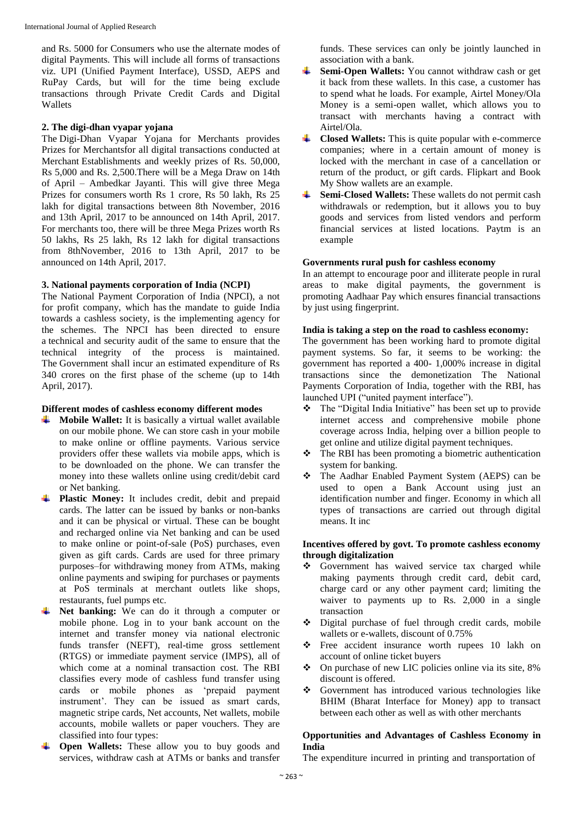and Rs. 5000 for Consumers who use the alternate modes of digital Payments. This will include all forms of transactions viz. UPI (Unified Payment Interface), USSD, AEPS and RuPay Cards, but will for the time being exclude transactions through Private Credit Cards and Digital Wallets

## **2. The digi-dhan vyapar yojana**

The Digi-Dhan Vyapar Yojana for Merchants provides Prizes for Merchantsfor all digital transactions conducted at Merchant Establishments and weekly prizes of Rs. 50,000, Rs 5,000 and Rs. 2,500.There will be a Mega Draw on 14th of April – Ambedkar Jayanti. This will give three Mega Prizes for consumers worth Rs 1 crore, Rs 50 lakh, Rs 25 lakh for digital transactions between 8th November, 2016 and 13th April, 2017 to be announced on 14th April, 2017. For merchants too, there will be three Mega Prizes worth Rs 50 lakhs, Rs 25 lakh, Rs 12 lakh for digital transactions from 8thNovember, 2016 to 13th April, 2017 to be announced on 14th April, 2017.

# **3. National payments corporation of India (NCPI)**

The National Payment Corporation of India (NPCI), a not for profit company, which has the mandate to guide India towards a cashless society, is the implementing agency for the schemes. The NPCI has been directed to ensure a technical and security audit of the same to ensure that the technical integrity of the process is maintained. The Government shall incur an estimated expenditure of Rs 340 crores on the first phase of the scheme (up to 14th April, 2017).

#### **Different modes of cashless economy different modes**

- $\blacktriangle$  **Mobile Wallet:** It is basically a virtual wallet available on our mobile phone. We can store cash in your mobile to make online or offline payments. Various service providers offer these wallets via mobile apps, which is to be downloaded on the phone. We can transfer the money into these wallets online using credit/debit card or Net banking.
- **Plastic Money:** It includes credit, debit and prepaid cards. The latter can be issued by banks or non-banks and it can be physical or virtual. These can be bought and recharged online via Net banking and can be used to make online or point-of-sale (PoS) purchases, even given as gift cards. Cards are used for three primary purposes–for withdrawing money from ATMs, making online payments and swiping for purchases or payments at PoS terminals at merchant outlets like shops, restaurants, fuel pumps etc.
- **Net banking:** We can do it through a computer or mobile phone. Log in to your bank account on the internet and transfer money via national electronic funds transfer (NEFT), real-time gross settlement (RTGS) or immediate payment service (IMPS), all of which come at a nominal transaction cost. The RBI classifies every mode of cashless fund transfer using cards or mobile phones as 'prepaid payment instrument'. They can be issued as smart cards, magnetic stripe cards, Net accounts, Net wallets, mobile accounts, mobile wallets or paper vouchers. They are classified into four types:
- **Open Wallets:** These allow you to buy goods and services, withdraw cash at ATMs or banks and transfer

funds. These services can only be jointly launched in association with a bank.

- **Semi-Open Wallets:** You cannot withdraw cash or get it back from these wallets. In this case, a customer has to spend what he loads. For example, Airtel Money/Ola Money is a semi-open wallet, which allows you to transact with merchants having a contract with Airtel/Ola.
- **Closed Wallets:** This is quite popular with e-commerce companies; where in a certain amount of money is locked with the merchant in case of a cancellation or return of the product, or gift cards. Flipkart and Book My Show wallets are an example.
- **Semi-Closed Wallets:** These wallets do not permit cash withdrawals or redemption, but it allows you to buy goods and services from listed vendors and perform financial services at listed locations. Paytm is an example

### **Governments rural push for cashless economy**

In an attempt to encourage poor and illiterate people in rural areas to make digital payments, the government is promoting Aadhaar Pay which ensures financial transactions by just using fingerprint.

#### **India is taking a step on the road to cashless economy:**

The government has been working hard to promote digital payment systems. So far, it seems to be working: the government has reported a 400- 1,000% increase in digital transactions since the demonetization The National Payments Corporation of India, together with the RBI, has launched UPI ("united payment interface").

- The "Digital India Initiative" has been set up to provide internet access and comprehensive mobile phone coverage across India, helping over a billion people to get online and utilize digital payment techniques.
- The RBI has been promoting a biometric authentication system for banking.
- The Aadhar Enabled Payment System (AEPS) can be used to open a Bank Account using just an identification number and finger. Economy in which all types of transactions are carried out through digital means. It inc

### **Incentives offered by govt. To promote cashless economy through digitalization**

- Government has waived service tax charged while making payments through credit card, debit card, charge card or any other payment card; limiting the waiver to payments up to Rs. 2,000 in a single transaction
- Digital purchase of fuel through credit cards, mobile wallets or e-wallets, discount of 0.75%
- \* Free accident insurance worth rupees 10 lakh on account of online ticket buyers
- On purchase of new LIC policies online via its site, 8% discount is offered.
- Government has introduced various technologies like BHIM (Bharat Interface for Money) app to transact between each other as well as with other merchants

#### **Opportunities and Advantages of Cashless Economy in India**

The expenditure incurred in printing and transportation of